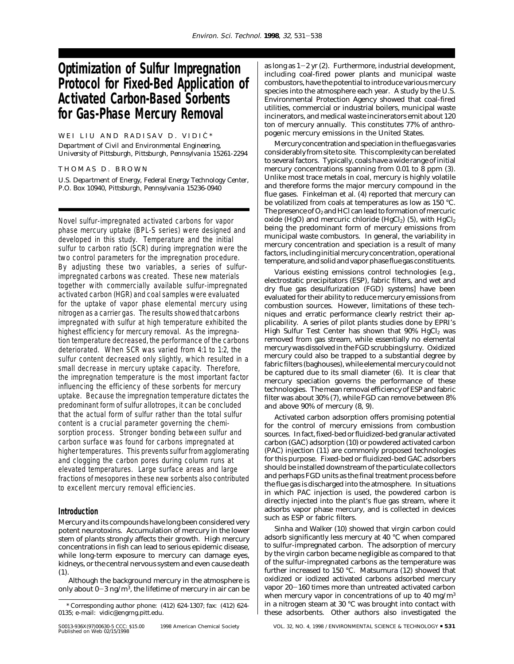# **Optimization of Sulfur Impregnation Protocol for Fixed-Bed Application of Activated Carbon-Based Sorbents for Gas-Phase Mercury Removal**

#### WEI LIU AND RADISAV D. VIDIĆ\*

*Department of Civil and Environmental Engineering, University of Pittsburgh, Pittsburgh, Pennsylvania 15261-2294*

THOMAS D. BROWN

*U.S. Department of Energy, Federal Energy Technology Center, P.O. Box 10940, Pittsburgh, Pennsylvania 15236-0940*

Novel sulfur-impregnated activated carbons for vapor phase mercury uptake (BPL-S series) were designed and developed in this study. Temperature and the initial sulfur to carbon ratio (SCR) during impregnation were the two control parameters for the impregnation procedure. By adjusting these two variables, a series of sulfurimpregnated carbons was created. These new materials together with commercially available sulfur-impregnated activated carbon (HGR) and coal samples were evaluated for the uptake of vapor phase elemental mercury using nitrogen as a carrier gas. The results showed that carbons impregnated with sulfur at high temperature exhibited the highest efficiency for mercury removal. As the impregnation temperature decreased, the performance of the carbons deteriorated. When SCR was varied from 4:1 to 1:2, the sulfur content decreased only slightly, which resulted in a small decrease in mercury uptake capacity. Therefore, the impregnation temperature is the most important factor influencing the efficiency of these sorbents for mercury uptake. Because the impregnation temperature dictates the predominant form of sulfur allotropes, it can be concluded that the actual form of sulfur rather than the total sulfur content is a crucial parameter governing the chemisorption process. Stronger bonding between sulfur and carbon surface was found for carbons impregnated at higher temperatures. This prevents sulfur from agglomerating and clogging the carbon pores during column runs at elevated temperatures. Large surface areas and large fractions of mesopores in these new sorbents also contributed to excellent mercury removal efficiencies.

## **Introduction**

Mercury and its compounds have long been considered very potent neurotoxins. Accumulation of mercury in the lower stem of plants strongly affects their growth. High mercury concentrations in fish can lead to serious epidemic disease, while long-term exposure to mercury can damage eyes, kidneys, or the central nervous system and even cause death (*1*).

Although the background mercury in the atmosphere is only about  $0-3$  ng/m<sup>3</sup>, the lifetime of mercury in air can be

as long as  $1-2$  yr  $(2)$ . Furthermore, industrial development, including coal-fired power plants and municipal waste combustors, have the potential to introduce various mercury species into the atmosphere each year. A study by the U.S. Environmental Protection Agency showed that coal-fired utilities, commercial or industrial boilers, municipal waste incinerators, and medical waste incinerators emit about 120 ton of mercury annually. This constitutes 77% of anthropogenic mercury emissions in the United States.

Mercury concentration and speciation in the flue gas varies considerably from site to site. This complexity can be related to several factors. Typically, coals have a wide range of initial mercury concentrations spanning from 0.01 to 8 ppm (*3*). Unlike most trace metals in coal, mercury is highly volatile and therefore forms the major mercury compound in the flue gases. Finkelman et al. (*4*) reported that mercury can be volatilized from coals at temperatures as low as 150 °C. The presence of  $O_2$  and HCl can lead to formation of mercuric oxide (HgO) and mercuric chloride (HgCl<sub>2</sub>) (5), with HgCl<sub>2</sub> being the predominant form of mercury emissions from municipal waste combustors. In general, the variability in mercury concentration and speciation is a result of many factors, including initial mercury concentration, operational temperature, and solid and vapor phase flue gas constituents.

Various existing emissions control technologies [e.g., electrostatic precipitators (ESP), fabric filters, and wet and dry flue gas desulfurization (FGD) systems] have been evaluated for their ability to reduce mercury emissions from combustion sources. However, limitations of these techniques and erratic performance clearly restrict their applicability. A series of pilot plants studies done by EPRI's High Sulfur Test Center has shown that  $90\%$  HgCl<sub>2</sub> was removed from gas stream, while essentially no elemental mercury was dissolved in the FGD scrubbing slurry. Oxidized mercury could also be trapped to a substantial degree by fabric filters (baghouses), while elemental mercury could not be captured due to its small diameter (*6*). It is clear that mercury speciation governs the performance of these technologies. The mean removal efficiency of ESP and fabric filter was about 30% (*7*), while FGD can remove between 8% and above 90% of mercury (*8*, *9*).

Activated carbon adsorption offers promising potential for the control of mercury emissions from combustion sources. In fact, fixed-bed or fluidized-bed granular activated carbon (GAC) adsorption (*10*) or powdered activated carbon (PAC) injection (*11*) are commonly proposed technologies for this purpose. Fixed-bed or fluidized-bed GAC adsorbers should be installed downstream of the particulate collectors and perhaps FGD units as the final treatment process before the flue gas is discharged into the atmosphere. In situations in which PAC injection is used, the powdered carbon is directly injected into the plant's flue gas stream, where it adsorbs vapor phase mercury, and is collected in devices such as ESP or fabric filters.

Sinha and Walker (*10*) showed that virgin carbon could adsorb significantly less mercury at 40 °C when compared to sulfur-impregnated carbon. The adsorption of mercury by the virgin carbon became negligible as compared to that of the sulfur-impregnated carbons as the temperature was further increased to 150 °C. Matsumura (*12*) showed that oxidized or iodized activated carbons adsorbed mercury vapor 20-160 times more than untreated activated carbon when mercury vapor in concentrations of up to 40 mg/m<sup>3</sup> in a nitrogen steam at 30 °C was brought into contact with these adsorbents. Other authors also investigated the

<sup>\*</sup> Corresponding author phone: (412) 624-1307; fax: (412) 624- 0135; e-mail: vidic@engrng.pitt.edu.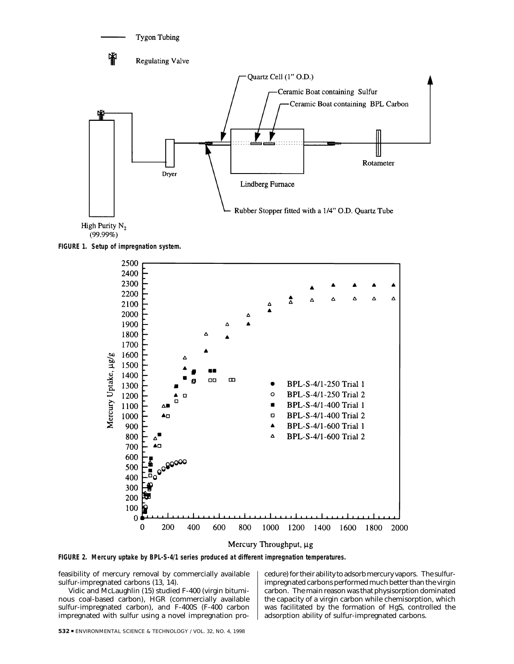







**FIGURE 2. Mercury uptake by BPL-S-4/1 series produced at different impregnation temperatures.**

feasibility of mercury removal by commercially available sulfur-impregnated carbons (*13*, *14*).

Vidic and McLaughlin (*15*) studied F-400 (virgin bituminous coal-based carbon), HGR (commercially available sulfur-impregnated carbon), and F-400S (F-400 carbon impregnated with sulfur using a novel impregnation procedure) for their ability to adsorb mercury vapors. The sulfurimpregnated carbons performed much better than the virgin carbon. The main reason was that physisorption dominated the capacity of a virgin carbon while chemisorption, which was facilitated by the formation of HgS, controlled the adsorption ability of sulfur-impregnated carbons.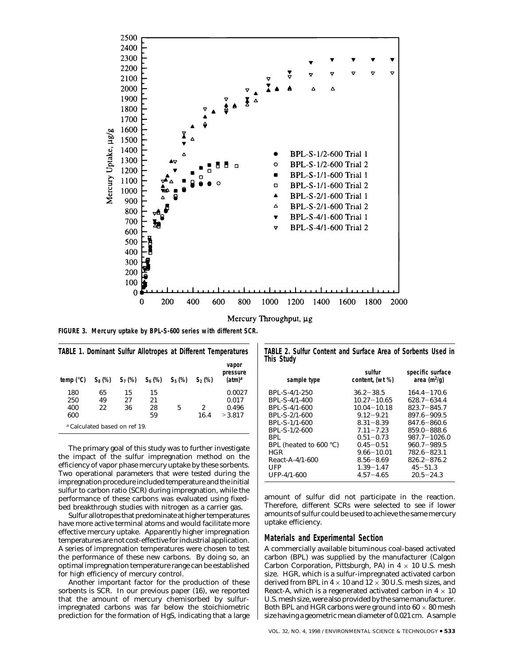

Mercury Throughput, µg

**FIGURE 3. Mercury uptake by BPL-S-600 series with different SCR.**

| TABLE 1. Dominant Sulfur Allotropes at Different Temperatures |           |           |                    |           |          |                                         |
|---------------------------------------------------------------|-----------|-----------|--------------------|-----------|----------|-----------------------------------------|
| temp $(^{\circ}C)$                                            | $S_8$ (%) | $S_7$ (%) | S <sub>6</sub> (%) | $S_5$ (%) | $S2$ (%) | vapor<br>pressure<br>(atm) <sup>a</sup> |
| 180                                                           | 65        | 15        | 15                 |           |          | 0.0027                                  |
| 250                                                           | 49        | 27        | 21                 |           |          | 0.017                                   |
| 400                                                           | 22        | 36        | 28                 | 5         | 2        | 0.496                                   |
| 600                                                           |           |           | 59                 |           | 16.4     | >3.817                                  |
| <sup>a</sup> Calculated based on ref 19.                      |           |           |                    |           |          |                                         |

The primary goal of this study was to further investigate the impact of the sulfur impregnation method on the efficiency of vapor phase mercury uptake by these sorbents. Two operational parameters that were tested during the impregnation procedure included temperature and the initial sulfur to carbon ratio (SCR) during impregnation, while the performance of these carbons was evaluated using fixedbed breakthrough studies with nitrogen as a carrier gas.

Sulfur allotropes that predominate at higher temperatures have more active terminal atoms and would facilitate more effective mercury uptake. Apparently higher impregnation temperatures are not cost-effective for industrial application. A series of impregnation temperatures were chosen to test the performance of these new carbons. By doing so, an optimal impregnation temperature range can be established for high efficiency of mercury control.

Another important factor for the production of these sorbents is SCR. In our previous paper (*16*), we reported that the amount of mercury chemisorbed by sulfurimpregnated carbons was far below the stoichiometric prediction for the formation of HgS, indicating that a large

| TABLE 2. Sulfur Content and Surface Area of Sorbents Used in |  |  |  |  |
|--------------------------------------------------------------|--|--|--|--|
| <b>This Study</b>                                            |  |  |  |  |

| sample type            | sulfur<br>content, (wt %) | specific surface<br>area $(m^2/q)$ |
|------------------------|---------------------------|------------------------------------|
| BPL-S-4/1-250          | $36.2 - 38.5$             | $164.4 - 170.6$                    |
| BPL-S-4/1-400          | $10.27 - 10.65$           | $628.7 - 634.4$                    |
| BPL-S-4/1-600          | $10.04 - 10.18$           | $823.7 - 845.7$                    |
| BPL-S-2/1-600          | $9.12 - 9.21$             | $897.6 - 909.5$                    |
| BPL-S-1/1-600          | $8.31 - 8.39$             | $847.6 - 860.6$                    |
| BPI - S-1/2-600        | $7.11 - 7.23$             | $859.0 - 888.6$                    |
| BPL                    | $0.51 - 0.73$             | $987.7 - 1026.0$                   |
| BPL (heated to 600 °C) | $0.45 - 0.51$             | $960.7 - 989.5$                    |
| HGR                    | $9.66 - 10.01$            | $782.6 - 823.1$                    |
| React-A-4/1-600        | $8.56 - 8.69$             | $826.2 - 876.2$                    |
| UFP                    | $1.39 - 1.47$             | $45 - 51.3$                        |
| UFP-4/1-600            | $4.57 - 4.65$             | $20.5 - 24.3$                      |

amount of sulfur did not participate in the reaction. Therefore, different SCRs were selected to see if lower amounts of sulfur could be used to achieve the same mercury uptake efficiency.

# **Materials and Experimental Section**

A commercially available bituminous coal-based activated carbon (BPL) was supplied by the manufacturer (Calgon Carbon Corporation, Pittsburgh, PA) in  $4 \times 10$  U.S. mesh size. HGR, which is a sulfur-impregnated activated carbon derived from BPL in  $4 \times 10$  and  $12 \times 30$  U.S. mesh sizes, and React-A, which is a regenerated activated carbon in  $4 \times 10$ U.S. mesh size, were also provided by the same manufacturer. Both BPL and HGR carbons were ground into  $60 \times 80$  mesh size having a geometric mean diameter of 0.021 cm. A sample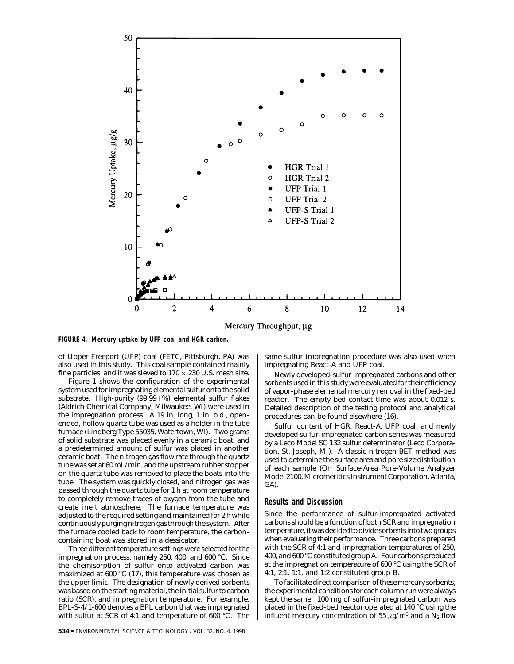

Mercury Throughput, µg

**FIGURE 4. Mercury uptake by UFP coal and HGR carbon.**

of Upper Freeport (UFP) coal (FETC, Pittsburgh, PA) was also used in this study. This coal sample contained mainly fine particles, and it was sieved to  $170 \times 230$  U.S. mesh size.

Figure 1 shows the configuration of the experimental system used for impregnating elemental sulfur onto the solid substrate. High-purity (99.99+%) elemental sulfur flakes (Aldrich Chemical Company, Milwaukee, WI) were used in the impregnation process. A 19 in. long, 1 in. o.d., openended, hollow quartz tube was used as a holder in the tube furnace (Lindberg Type 55035, Watertown, WI). Two grams of solid substrate was placed evenly in a ceramic boat, and a predetermined amount of sulfur was placed in another ceramic boat. The nitrogen gas flow rate through the quartz tube was set at 60 mL/min, and the upstream rubber stopper on the quartz tube was removed to place the boats into the tube. The system was quickly closed, and nitrogen gas was passed through the quartz tube for 1 h at room temperature to completely remove traces of oxygen from the tube and create inert atmosphere. The furnace temperature was adjusted to the required setting and maintained for 2 h while continuously purging nitrogen gas through the system. After the furnace cooled back to room temperature, the carboncontaining boat was stored in a dessicator.

Three different temperature settings were selected for the impregnation process, namely 250, 400, and 600 °C. Since the chemisorption of sulfur onto activated carbon was maximized at 600 °C (*17*), this temperature was chosen as the upper limit. The designation of newly derived sorbents was based on the starting material, the initial sulfur to carbon ratio (SCR), and impregnation temperature. For example, BPL-S-4/1-600 denotes a BPL carbon that was impregnated with sulfur at SCR of 4:1 and temperature of 600 °C. The

same sulfur impregnation procedure was also used when impregnating React-A and UFP coal.

Newly developed-sulfur impregnated carbons and other sorbents used in this study were evaluated for their efficiency of vapor-phase elemental mercury removal in the fixed-bed reactor. The empty bed contact time was about 0.012 s. Detailed description of the testing protocol and analytical procedures can be found elsewhere (*16*).

Sulfur content of HGR, React-A, UFP coal, and newly developed sulfur-impregnated carbon series was measured by a Leco Model SC 132 sulfur determinator (Leco Corporation, St. Joseph, MI). A classic nitrogen BET method was used to determine the surface area and pore size distribution of each sample (Orr Surface-Area Pore-Volume Analyzer Model 2100, Micromeritics Instrument Corporation, Atlanta, GA).

## **Results and Discussion**

Since the performance of sulfur-impregnated activated carbons should be a function of both SCR and impregnation temperature, it was decided to divide sorbents into two groups when evaluating their performance. Three carbons prepared with the SCR of 4:1 and impregnation temperatures of 250, 400, and 600 °C constituted group A. Four carbons produced at the impregnation temperature of 600 °C using the SCR of 4:1, 2:1, 1:1, and 1:2 constituted group B.

To facilitate direct comparison of these mercury sorbents, the experimental conditions for each column run were always kept the same: 100 mg of sulfur-impregnated carbon was placed in the fixed-bed reactor operated at 140 °C using the influent mercury concentration of 55  $\mu$ g/m<sup>3</sup> and a N<sub>2</sub> flow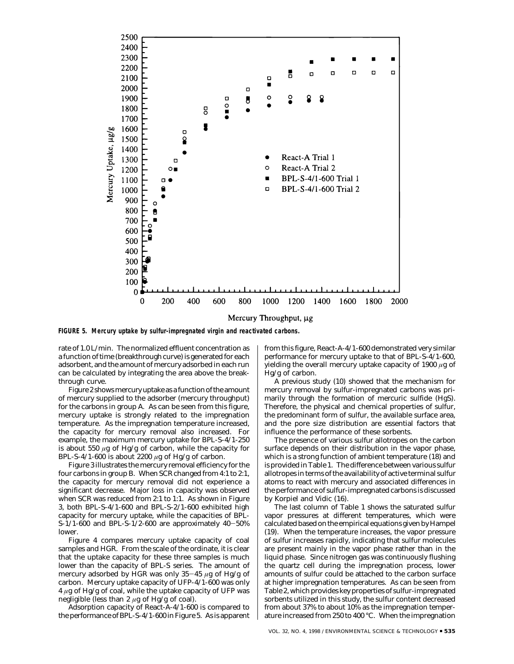

Mercury Throughput, µg

**FIGURE 5. Mercury uptake by sulfur-impregnated virgin and reactivated carbons.**

rate of 1.0 L/min. The normalized effluent concentration as a function of time (breakthrough curve) is generated for each adsorbent, and the amount of mercury adsorbed in each run can be calculated by integrating the area above the breakthrough curve.

Figure 2 shows mercury uptake as a function of the amount of mercury supplied to the adsorber (mercury throughput) for the carbons in group A. As can be seen from this figure, mercury uptake is strongly related to the impregnation temperature. As the impregnation temperature increased, the capacity for mercury removal also increased. For example, the maximum mercury uptake for BPL-S-4/1-250 is about 550 *µ*g of Hg/g of carbon, while the capacity for BPL-S-4/1-600 is about 2200  $\mu$ g of Hg/g of carbon.

Figure 3 illustrates the mercury removal efficiency for the four carbons in group B. When SCR changed from 4:1 to 2:1, the capacity for mercury removal did not experience a significant decrease. Major loss in capacity was observed when SCR was reduced from 2:1 to 1:1. As shown in Figure 3, both BPL-S-4/1-600 and BPL-S-2/1-600 exhibited high capacity for mercury uptake, while the capacities of BPL-S-1/1-600 and BPL-S-1/2-600 are approximately 40-50% lower.

Figure 4 compares mercury uptake capacity of coal samples and HGR. From the scale of the ordinate, it is clear that the uptake capacity for these three samples is much lower than the capacity of BPL-S series. The amount of mercury adsorbed by HGR was only 35-<sup>45</sup> *<sup>µ</sup>*g of Hg/g of carbon. Mercury uptake capacity of UFP-4/1-600 was only 4 *µ*g of Hg/g of coal, while the uptake capacity of UFP was negligible (less than 2 *µ*g of Hg/g of coal).

Adsorption capacity of React-A-4/1-600 is compared to the performance of BPL-S-4/1-600 in Figure 5. As is apparent from this figure, React-A-4/1-600 demonstrated very similar performance for mercury uptake to that of BPL-S-4/1-600, yielding the overall mercury uptake capacity of 1900 *µ*g of Hg/g of carbon.

A previous study (*10*) showed that the mechanism for mercury removal by sulfur-impregnated carbons was primarily through the formation of mercuric sulfide (HgS). Therefore, the physical and chemical properties of sulfur, the predominant form of sulfur, the available surface area, and the pore size distribution are essential factors that influence the performance of these sorbents.

The presence of various sulfur allotropes on the carbon surface depends on their distribution in the vapor phase, which is a strong function of ambient temperature (*18*) and is provided in Table 1. The difference between various sulfur allotropes in terms of the availability of active terminal sulfur atoms to react with mercury and associated differences in the performance of sulfur-impregnated carbons is discussed by Korpiel and Vidic (*16*).

The last column of Table 1 shows the saturated sulfur vapor pressures at different temperatures, which were calculated based on the empirical equations given by Hampel (*19*). When the temperature increases, the vapor pressure of sulfur increases rapidly, indicating that sulfur molecules are present mainly in the vapor phase rather than in the liquid phase. Since nitrogen gas was continuously flushing the quartz cell during the impregnation process, lower amounts of sulfur could be attached to the carbon surface at higher impregnation temperatures. As can be seen from Table 2, which provides key properties of sulfur-impregnated sorbents utilized in this study, the sulfur content decreased from about 37% to about 10% as the impregnation temperature increased from 250 to 400 °C. When the impregnation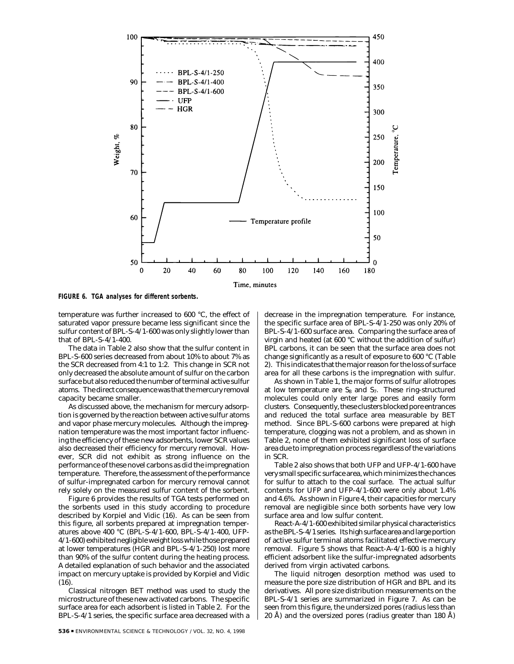

**FIGURE 6. TGA analyses for different sorbents.**

temperature was further increased to 600 °C, the effect of saturated vapor pressure became less significant since the sulfur content of BPL-S-4/1-600 was only slightly lower than that of BPL-S-4/1-400.

The data in Table 2 also show that the sulfur content in BPL-S-600 series decreased from about 10% to about 7% as the SCR decreased from 4:1 to 1:2. This change in SCR not only decreased the absolute amount of sulfur on the carbon surface but also reduced the number of terminal active sulfur atoms. The direct consequence was that the mercury removal capacity became smaller.

As discussed above, the mechanism for mercury adsorption is governed by the reaction between active sulfur atoms and vapor phase mercury molecules. Although the impregnation temperature was the most important factor influencing the efficiency of these new adsorbents, lower SCR values also decreased their efficiency for mercury removal. However, SCR did not exhibit as strong influence on the performance of these novel carbons as did the impregnation temperature. Therefore, the assessment of the performance of sulfur-impregnated carbon for mercury removal cannot rely solely on the measured sulfur content of the sorbent.

Figure 6 provides the results of TGA tests performed on the sorbents used in this study according to procedure described by Korpiel and Vidic (*16*). As can be seen from this figure, all sorbents prepared at impregnation temperatures above 400 °C (BPL-S-4/1-600, BPL-S-4/1-400, UFP-4/1-600) exhibited negligible weight loss while those prepared at lower temperatures (HGR and BPL-S-4/1-250) lost more than 90% of the sulfur content during the heating process. A detailed explanation of such behavior and the associated impact on mercury uptake is provided by Korpiel and Vidic (*16*).

Classical nitrogen BET method was used to study the microstructure of these new activated carbons. The specific surface area for each adsorbent is listed in Table 2. For the BPL-S-4/1 series, the specific surface area decreased with a decrease in the impregnation temperature. For instance, the specific surface area of BPL-S-4/1-250 was only 20% of BPL-S-4/1-600 surface area. Comparing the surface area of virgin and heated (at 600 °C without the addition of sulfur) BPL carbons, it can be seen that the surface area does not change significantly as a result of exposure to 600 °C (Table 2). This indicates that the major reason for the loss of surface area for all these carbons is the impregnation with sulfur.

As shown in Table 1, the major forms of sulfur allotropes at low temperature are  $S_8$  and  $S_7$ . These ring-structured molecules could only enter large pores and easily form clusters. Consequently, these clusters blocked pore entrances and reduced the total surface area measurable by BET method. Since BPL-S-600 carbons were prepared at high temperature, clogging was not a problem, and as shown in Table 2, none of them exhibited significant loss of surface area due to impregnation process regardless of the variations in SCR.

Table 2 also shows that both UFP and UFP-4/1-600 have very small specific surface area, which minimizes the chances for sulfur to attach to the coal surface. The actual sulfur contents for UFP and UFP-4/1-600 were only about 1.4% and 4.6%. As shown in Figure 4, their capacities for mercury removal are negligible since both sorbents have very low surface area and low sulfur content.

React-A-4/1-600 exhibited similar physical characteristics as the BPL-S-4/1 series. Its high surface area and large portion of active sulfur terminal atoms facilitated effective mercury removal. Figure 5 shows that React-A-4/1-600 is a highly efficient adsorbent like the sulfur-impregnated adsorbents derived from virgin activated carbons.

The liquid nitrogen desorption method was used to measure the pore size distribution of HGR and BPL and its derivatives. All pore size distribution measurements on the BPL-S-4/1 series are summarized in Figure 7. As can be seen from this figure, the undersized pores (radius less than 20 Å) and the oversized pores (radius greater than 180 Å)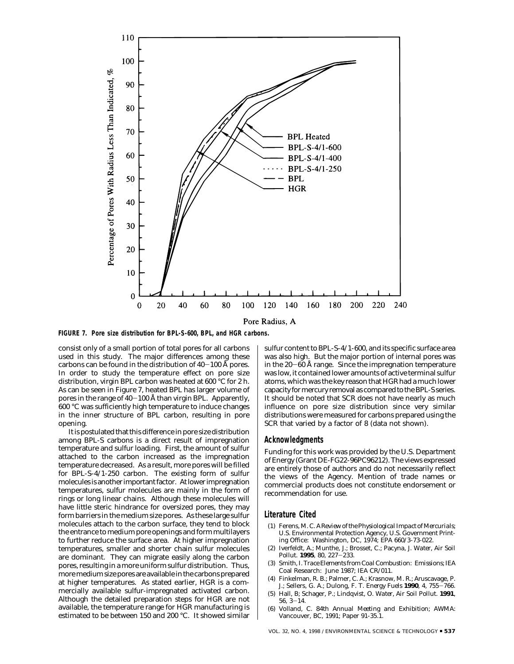

**FIGURE 7. Pore size distribution for BPL-S-600, BPL, and HGR carbons.**

consist only of a small portion of total pores for all carbons used in this study. The major differences among these carbons can be found in the distribution of  $40-100$  Å pores. In order to study the temperature effect on pore size distribution, virgin BPL carbon was heated at 600 °C for 2 h. As can be seen in Figure 7, heated BPL has larger volume of pores in the range of  $40-100$  Å than virgin BPL. Apparently, 600 °C was sufficiently high temperature to induce changes in the inner structure of BPL carbon, resulting in pore opening.

It is postulated that this difference in pore size distribution among BPL-S carbons is a direct result of impregnation temperature and sulfur loading. First, the amount of sulfur attached to the carbon increased as the impregnation temperature decreased. As a result, more pores will be filled for BPL-S-4/1-250 carbon. The existing form of sulfur molecules is another important factor. At lower impregnation temperatures, sulfur molecules are mainly in the form of rings or long linear chains. Although these molecules will have little steric hindrance for oversized pores, they may form barriers in the medium size pores. As these large sulfur molecules attach to the carbon surface, they tend to block the entrance to medium pore openings and form multilayers to further reduce the surface area. At higher impregnation temperatures, smaller and shorter chain sulfur molecules are dominant. They can migrate easily along the carbon pores, resulting in a more uniform sulfur distribution. Thus, more medium size pores are available in the carbons prepared at higher temperatures. As stated earlier, HGR is a commercially available sulfur-impregnated activated carbon. Although the detailed preparation steps for HGR are not available, the temperature range for HGR manufacturing is estimated to be between 150 and 200 °C. It showed similar

sulfur content to BPL-S-4/1-600, and its specific surface area was also high. But the major portion of internal pores was in the  $20-60$  Å range. Since the impregnation temperature was low, it contained lower amounts of active terminal sulfur atoms, which was the key reason that HGR had a much lower capacity for mercury removal as compared to the BPL-S series. It should be noted that SCR does not have nearly as much influence on pore size distribution since very similar distributions were measured for carbons prepared using the SCR that varied by a factor of 8 (data not shown).

## **Acknowledgments**

Funding for this work was provided by the U.S. Department of Energy (Grant DE-FG22-96PC96212). The views expressed are entirely those of authors and do not necessarily reflect the views of the Agency. Mention of trade names or commercial products does not constitute endorsement or recommendation for use.

## **Literature Cited**

- (1) Ferens, M. C. *A Review of the Physiological Impact of Mercurials*; U.S. Environmental Protection Agency, U.S. Government Printing Office: Washington, DC, 1974; EPA 660/3-73-022.
- (2) Iverfeldt, A.; Munthe, J.; Brosset, C.; Pacyna, J. *Water, Air Soil Pollut.* **<sup>1995</sup>**, *<sup>80</sup>*, 227-233.
- (3) Smith, I. *Trace Elements from Coal Combustion: Emissions*; IEA Coal Research: June 1987; IEA CR/011.
- (4) Finkelman, R. B.; Palmer, C. A.; Krasnow, M. R.; Aruscavage, P. J.; Sellers, G. A.; Dulong, F. T. *Energy Fuels* **<sup>1990</sup>**, *<sup>4</sup>*, 755-766.
- (5) Hall, B; Schager, P.; Lindqvist, O. *Water, Air Soil Pollut.* **1991**, *<sup>56</sup>*, 3-14.
- (6) Volland, C. *84th Annual Meeting and Exhibition*; AWMA: Vancouver, BC, 1991; Paper 91-35.1.